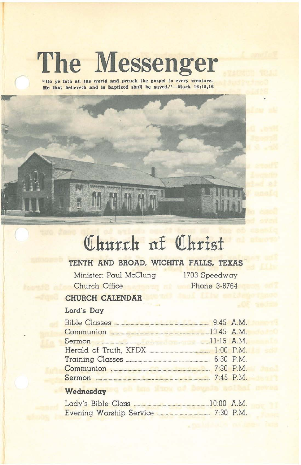# **The Messenger**

**"Go ye Into all the world and preach the gospel to every creature.** He that believeth and is baptized shall be saved."-Mark 16:15,16



# **<!Ihurth ttl QIkrisf**

# **TENTH AND BROAD. WICHITA FALLS. TEXAS**

Minister: Paul McClung Church Office

1703 Speedway Phone 3-8764

## **CHURCH CALENDAR**

### **Lord's Day**

| Communion 2008 20145 A.M. |  |
|---------------------------|--|
|                           |  |
|                           |  |
|                           |  |
|                           |  |
|                           |  |
|                           |  |

#### **Wednesday**

| Lady's Bible Class      | $10:00$ A.M. |
|-------------------------|--------------|
| Evening Worship Service | $7:30$ P.M.  |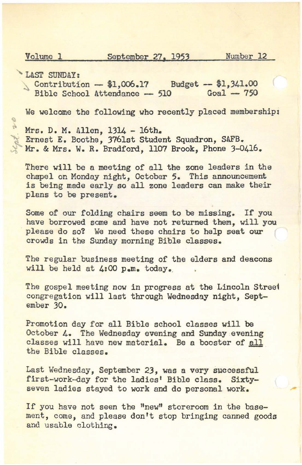$\sigma$ 

Volume 1 September 27. 1953 Number 12

LAST SUNDAY:

Contribution -  $$1,006.17$  Budget -  $$1,341.00$ <br>Bible School Attendance - 510 Goal - 750  $Bible School$  Attendance  $-510$ 

We welcome the following who recently placed membership;

Mrs. D. M. Allen. 1314 - 16th. Ernest E. Boothe, 3761st Student Squadron, SAFB. Mr. & Mrs. W. R. Bradford, 1107 Brook, Phone 3-0416.

There will be a meeting of all the zone leaders in the chapel on Monday night, October 5. This announcement is being made early so all zone leaders can make their plans to be present.

Some of our folding chairs seem to be missing. If you have borrowed some and have not returned them, will you please do so? We need these chairs to help seat our crowds in the Sunday morning Bible classes.

The regular business meeting of the elders and deacons will be held at 4:00 p.m. today.

The gospel meeting now in progress at the Lincoln Streel congregation will last through Wednesday night, September 30.

Promotion day for all Bible school classes will be October 4. The Wednesday evening and Sunday evening classes will have new material. Be a booster of all the Bible classes.

Last Wednesday, September 23, was a very successful first-work-day for the ladies' Bible class. Sixtyseven ladies stayed to work and do personal work.

If you have not seen the "new" storeroom in the basement, come, and please don't stop bringing canned goods and usable clothing.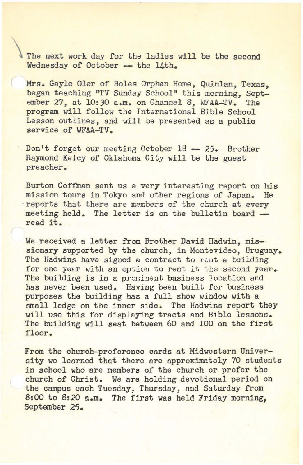The next work day for the ladies will be the second Wednesday of October -- the 14th.

Mrs. Gayle Oler of Boles Orphan Home, Quinlan, Texas, began teaching "TV Sunday School" this morning, September 27, at 10:30 a.m. on Channel 8, WFAA-TV. The program will follow the International Bible School Lesson outlines, and will be presented as a public service of WFAA-TV.

Don't forget our meeting October 18 -- 25. Brother Raymond Kelcy of Oklahoma City will be the guest preacher.

Burton Coffman sent us a very interesting report on his mission tours in Tokyo and other regions of Japan. He reports that there are members of the church at every meeting held. The letter is on the bulletin board read it.

We received a letter from Brother David Hadwin, missionary supported by the church, in Montevideo, Uruguay. The Hadwins have signed a contract to rent a building for one year with an option to rent it the second year. The building is in a prominent business location and has never been used. Having been built for business purposes the building has a full show window with a small ledge on the inner side. The Hadwins report they will use this for displaying tracts and Bible lessons. The building will seat between 60 and 100 on the first floor.

From the church-preference cards at Midwestern University we learned that there are approximately 70 students in school who are members of the church or prefer the church of Christ. We are holding devotional period on the campus each Tuesday, Thursday, and Saturday from 8:00 to 8:20 a.m. The first was held Friday morning, September 25.